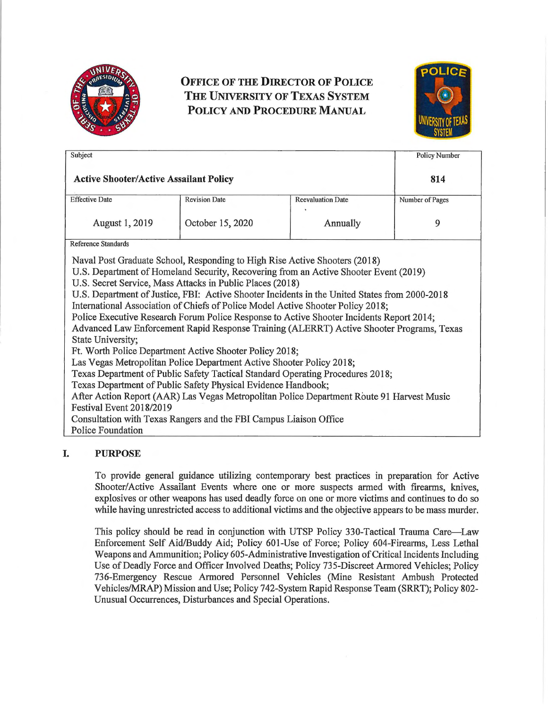

# **OFFICE OF THE DIRECTOR OF POLICE THE UNIVERSITY OF TEXAS SYSTEM POLICY AND PROCEDURE MANUAL**



| Subject                                                                                                                                                                                                                                                                                                                                                                                                                                                                                                                                                                                                                                                                                                                                                                                                                                                                                                                                                                                                                                                                                                                                   |                      |                          | <b>Policy Number</b> |
|-------------------------------------------------------------------------------------------------------------------------------------------------------------------------------------------------------------------------------------------------------------------------------------------------------------------------------------------------------------------------------------------------------------------------------------------------------------------------------------------------------------------------------------------------------------------------------------------------------------------------------------------------------------------------------------------------------------------------------------------------------------------------------------------------------------------------------------------------------------------------------------------------------------------------------------------------------------------------------------------------------------------------------------------------------------------------------------------------------------------------------------------|----------------------|--------------------------|----------------------|
| <b>Active Shooter/Active Assailant Policy</b>                                                                                                                                                                                                                                                                                                                                                                                                                                                                                                                                                                                                                                                                                                                                                                                                                                                                                                                                                                                                                                                                                             |                      |                          | 814                  |
| <b>Effective Date</b>                                                                                                                                                                                                                                                                                                                                                                                                                                                                                                                                                                                                                                                                                                                                                                                                                                                                                                                                                                                                                                                                                                                     | <b>Revision Date</b> | <b>Reevaluation Date</b> | Number of Pages      |
| August 1, 2019                                                                                                                                                                                                                                                                                                                                                                                                                                                                                                                                                                                                                                                                                                                                                                                                                                                                                                                                                                                                                                                                                                                            | October 15, 2020     | Annually                 | 9                    |
| <b>Reference Standards</b>                                                                                                                                                                                                                                                                                                                                                                                                                                                                                                                                                                                                                                                                                                                                                                                                                                                                                                                                                                                                                                                                                                                |                      |                          |                      |
| Naval Post Graduate School, Responding to High Rise Active Shooters (2018)<br>U.S. Department of Homeland Security, Recovering from an Active Shooter Event (2019)<br>U.S. Secret Service, Mass Attacks in Public Places (2018)<br>U.S. Department of Justice, FBI: Active Shooter Incidents in the United States from 2000-2018<br>International Association of Chiefs of Police Model Active Shooter Policy 2018;<br>Police Executive Research Forum Police Response to Active Shooter Incidents Report 2014;<br>Advanced Law Enforcement Rapid Response Training (ALERRT) Active Shooter Programs, Texas<br>State University;<br>Ft. Worth Police Department Active Shooter Policy 2018;<br>Las Vegas Metropolitan Police Department Active Shooter Policy 2018;<br>Texas Department of Public Safety Tactical Standard Operating Procedures 2018;<br>Texas Department of Public Safety Physical Evidence Handbook;<br>After Action Report (AAR) Las Vegas Metropolitan Police Department Route 91 Harvest Music<br>Festival Event 2018/2019<br>Consultation with Texas Rangers and the FBI Campus Liaison Office<br>Police Foundation |                      |                          |                      |

## **I. PURPOSE**

To provide general guidance utilizing contemporary best practices in preparation for Active Shooter/Active Assailant Events where one or more suspects armed with firearms, knives, explosives or other weapons has used deadly force on one or more victims and continues to do so while having unrestricted access to additional victims and the objective appears to be mass murder.

This policy should be read in conjunction with UTSP Policy 330-Tactical Trauma Care-Law Enforcement Self Aid/Buddy Aid; Policy 601-Use of Force; Policy 604-Firearms, Less Lethal Weapons and Ammunition; Policy 605-Administrative Investigation of Critical Incidents Including Use of Deadly Force and Officer Involved Deaths; Policy 735-Discreet Armored Vehicles; Policy 736-Emergency Rescue Armored Personnel Vehicles (Mine Resistant Ambush Protected Vehicles/MRAP) Mission and Use; Policy 742-System Rapid Response Team (SRRT); Policy 802- Unusual Occurrences, Disturbances and Special Operations.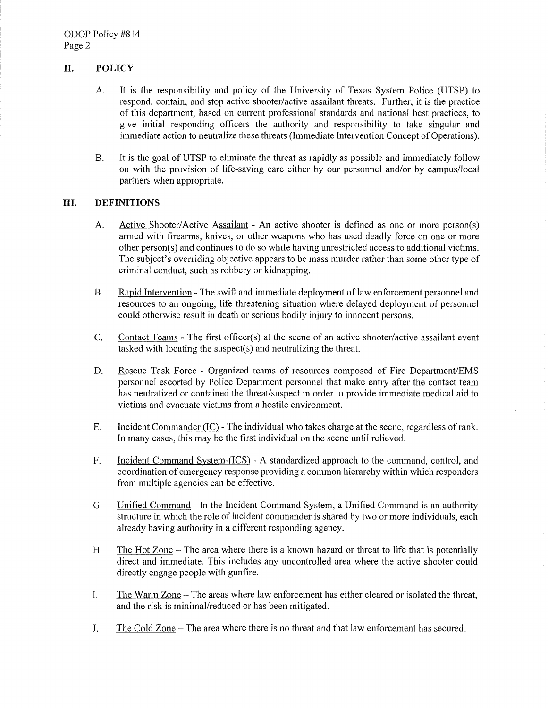## **II. POLICY**

- A. It is the responsibility and policy of the University of Texas System Police (UTSP) to respond, contain, and stop active shooter/active assailant threats. Further, it is the practice of this department, based on current professional standards and national best practices, to give initial responding officers the authority and responsibility to take singular and immediate action to neutralize these threats (Immediate Intervention Concept of Operations).
- B. It is the goal of UTSP to eliminate the threat as rapidly as possible and immediately follow on with the provision of life-saving care either by our personnel and/or by campus/local partners when appropriate.

#### **III. DEFINITIONS**

- A. Active Shooter/Active Assailant An active shooter is defined as one or more person(s) armed with firearms, knives, or other weapons who has used deadly force on one or more other person(s) and continues to do so while having unrestricted access to additional victims. The subject's overriding objective appears to be mass murder rather than some other type of criminal conduct, such as robbery or kidnapping.
- B. Rapid Intervention The swift and immediate deployment of law enforcement personnel and resources to an ongoing, life threatening situation where delayed deployment of personnel could otherwise result in death or serious bodily injury to innocent persons.
- C. Contact Teams The first officer(s) at the scene of an active shooter/active assailant event tasked with locating the suspect(s) and neutralizing the threat.
- D. Rescue Task Force Organized teams of resources composed of Fire Department/EMS personnel escorted by Police Department personnel that make entry after the contact team has neutralized or contained the threat/suspect in order to provide immediate medical aid to victims and evacuate victims from a hostile environment.
- E. Incident Commander (IC) The individual who takes charge at the scene, regardless of rank. In many cases, this may be the first individual on the scene until relieved.
- F. Incident Command System-(ICS) A standardized approach to the command, control, and coordination of emergency response providing a common hierarchy within which responders from multiple agencies can be effective.
- G. Unified Command In the Incident Command System, a Unified Command is an authority structure in which the role of incident commander is shared by two or more individuals, each already having authority in a different responding agency.
- H. The Hot Zone  $-$  The area where there is a known hazard or threat to life that is potentially direct and immediate. This includes any uncontrolled area where the active shooter could directly engage people with gunfire.
- I. The Warm Zone -The areas where law enforcement has either cleared or isolated the threat, and the risk is minimal/reduced or has been mitigated.
- J. The Cold Zone The area where there is no threat and that law enforcement has secured.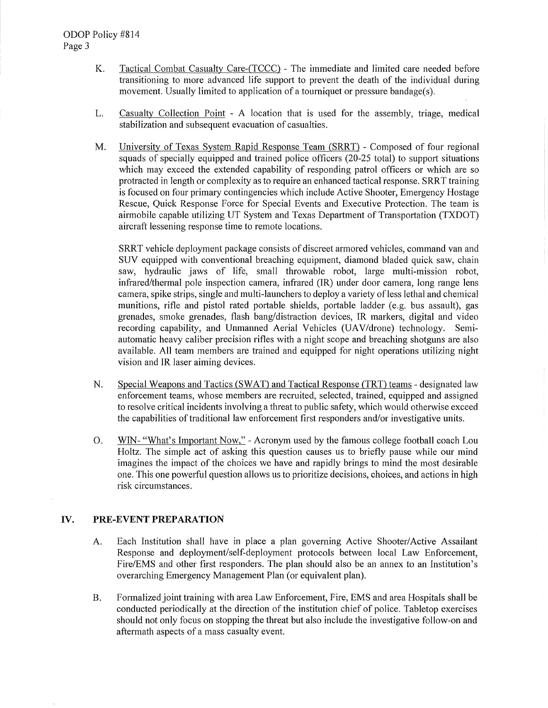- K. Tactical Combat Casualty Care-(TCCC) The immediate and limited care needed before transitioning to more advanced life support to prevent the death of the individual during movement. Usually limited to application of a tourniquet or pressure bandage(s).
- L. Casualty Collection Point A location that is used for the assembly, triage, medical stabilization and subsequent evacuation of casualties.
- M. University of Texas System Rapid Response Team (SRRT) Composed of four regional squads of specially equipped and trained police officers (20-25 total) to support situations which may exceed the extended capability of responding patrol officers or which are so protracted in length or complexity as to require an enhanced tactical response. SRRT training is focused on four primary contingencies which include Active Shooter, Emergency Hostage Rescue, Quick Response Force for Special Events and Executive Protection. The team is airmobile capable utilizing UT System and Texas Department of Transportation (TXDOT) aircraft lessening response time to remote locations.

SRRT vehicle deployment package consists of discreet armored vehicles, command van and SUV equipped with conventional breaching equipment, diamond bladed quick saw, chain saw, hydraulic jaws of life, small throwable robot, large multi-mission robot, infrared/thermal pole inspection camera, infrared (IR) under door camera, long range lens camera, spike strips, single and multi-launchers to deploy a variety ofless lethal and chemical munitions, rifle and pistol rated portable shields, portable ladder (e.g. bus assault), gas grenades, smoke grenades, flash bang/distraction devices, IR markers, digital and video recording capability, and Unmanned Aerial Vehicles (UAV/drone) technology. Semiautomatic heavy caliber precision rifles with a night scope and breaching shotguns are also available. All team members are trained and equipped for night operations utilizing night vision and IR laser aiming devices.

- N. Special Weapons and Tactics (SWAT) and Tactical Response (TRT) teams designated law enforcement teams, whose members are recruited, selected, trained, equipped and assigned to resolve critical incidents involving a threat to public safety, which would otherwise exceed the capabilities of traditional law enforcement first responders and/or investigative units.
- 0. WIN- "What's Important Now," Acronym used by the famous college football coach Lou Holtz. The simple act of asking this question causes us to briefly pause while our mind imagines the impact of the choices we have and rapidly brings to mind the most desirable one. This one powerful question allows us to prioritize decisions, choices, and actions in high risk circumstances.

#### **IV.** PRE-EVENT PREPARATION

- A. Each Institution shall have in place a plan governing Active Shooter/Active Assailant Response and deployment/self-deployment protocols between local Law Enforcement, Fire/EMS and other first responders. The plan should also be an annex to an Institution's overarching Emergency Management Plan (or equivalent plan).
- B. Formalized joint training with area Law Enforcement, Fire, EMS and area Hospitals shall be conducted periodically at the direction of the institution chief of police. Tabletop exercises should not only focus on stopping the threat but also include the investigative follow-on and aftermath aspects of a mass casualty event.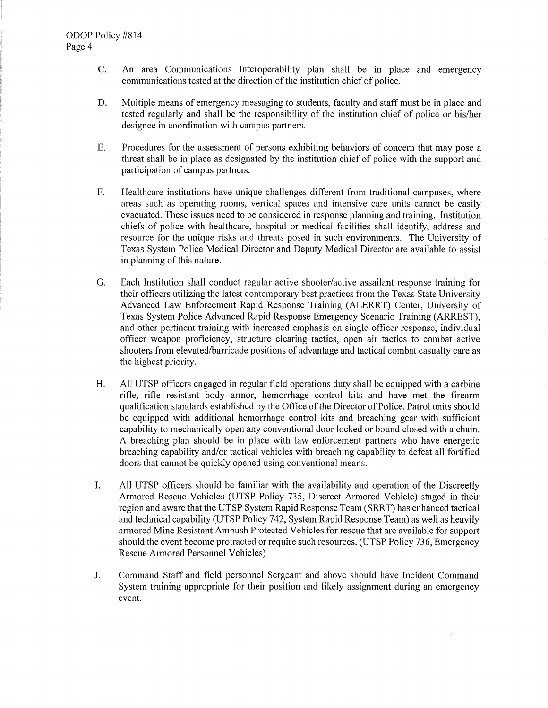- C. An area Communications Interoperability plan shall be in place and emergency communications tested at the direction of the institution chief of police.
- D. Multiple means of emergency messaging to students, faculty and staff must be in place and tested regularly and shall be the responsibility of the institution chief of police or his/her designee in coordination with campus partners.
- E. Procedures for the assessment of persons exhibiting behaviors of concern that may pose a threat shall be in place as designated by the institution chief of police with the support and participation of campus partners.
- F. Healthcare institutions have unique challenges different from traditional campuses, where areas such as operating rooms, vertical spaces and intensive care units cannot be easily evacuated. These issues need to be considered in response planning and training. Institution chiefs of police with healthcare, hospital or medical facilities shall identify, address and resource for the unique risks and threats posed in such environments. The University of Texas System Police Medical Director and Deputy Medical Director are available to assist in planning of this nature.
- G. Each Institution shall conduct regular active shooter/active assailant response training for their officers utilizing the latest contemporary best practices from the Texas State University Advanced Law Enforcement Rapid Response Training (ALERRT) Center, University of Texas System Police Advanced Rapid Response Emergency Scenario Training (ARREST), and other pertinent training with increased emphasis on single officer response, individual officer weapon proficiency, structure clearing tactics, open air tactics to combat active shooters from elevated/barricade positions of advantage and tactical combat casualty care as the highest priority.
- H. All UTSP officers engaged in regular field operations duty shall be equipped with a carbine rifle, rifle resistant body armor, hemorrhage control kits and have met the firearm qualification standards established by the Office of the Director of Police. Patrol units should be equipped with additional hemorrhage control kits and breaching gear with sufficient capability to mechanically open any conventional door locked or bound closed with a chain. A breaching plan should be in place with law enforcement partners who have energetic breaching capability and/or tactical vehicles with breaching capability to defeat all fortified doors that cannot be quickly opened using conventional means.
- I. All UTSP officers should be familiar with the availability and operation of the Discreetly Armored Rescue Vehicles (UTSP Policy 735, Discreet Armored Vehicle) staged in their region and aware that the UTSP System Rapid Response Team (SRRT) has enhanced tactical and technical capability (UTSP Policy 742, System Rapid Response Team) as well as heavily armored Mine Resistant Ambush Protected Vehicles for rescue that are available for support should the event become protracted or require such resources. (UTSP Policy 736, Emergency Rescue Armored Personnel Vehicles)
- J. Command Staff and field personnel Sergeant and above should have Incident Command System training appropriate for their position and likely assignment during an emergency event.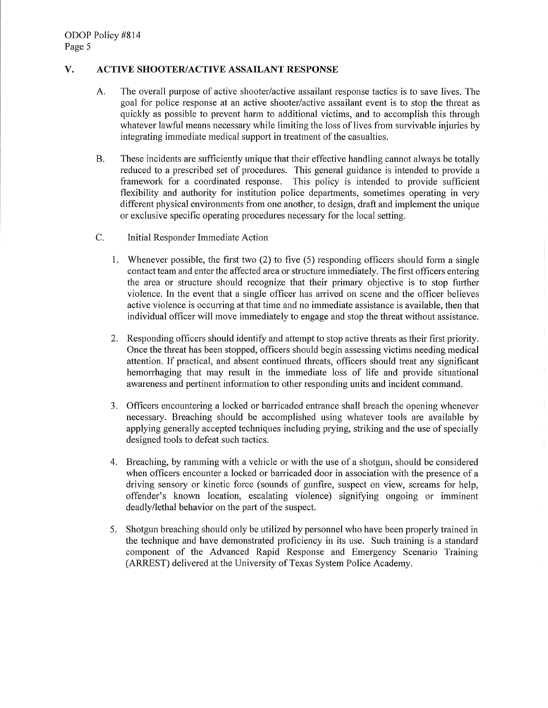## **V. ACTIVE SHOOTER/ACTIVE ASSAILANT RESPONSE**

- A. The overall purpose of active shooter/active assailant response tactics is to save lives. The goal for police response at an active shooter/active assailant event is to stop the threat as quickly as possible to prevent harm to additional victims, and to accomplish this through whatever lawful means necessary while limiting the loss of lives from survivable injuries by integrating immediate medical support in treatment of the casualties.
- B. These incidents are sufficiently unique that their effective handling cannot always be totally reduced to a prescribed set of procedures. This general guidance is intended to provide a framework for a coordinated response. This policy is intended to provide sufficient flexibility and authority for institution police departments, sometimes operating in very different physical environments from one another, to design, draft and implement the unique or exclusive specific operating procedures necessary for the local setting.
- C. Initial Responder Immediate Action
	- 1. Whenever possible, the first two (2) to five (5) responding officers should form a single contact team and enter the affected area or structure immediately. The first officers entering the area or structure should recognize that their primary objective is to stop further violence. In the event that a single officer has arrived on scene and the officer believes active violence is occurring at that time and no immediate assistance is available, then that individual officer will move immediately to engage and stop the threat without assistance.
	- 2. Responding officers should identify and attempt to stop active threats as their first priority. Once the threat has been stopped, officers should begin assessing victims needing medical attention. If practical, and absent continued threats, officers should treat any significant hemorrhaging that may result in the immediate loss of life and provide situational awareness and pertinent information to other responding units and incident command.
	- 3. Officers encountering a locked or barricaded entrance shall breach the opening whenever necessary. Breaching should be accomplished using whatever tools are available by applying generally accepted techniques including prying, striking and the use of specially designed tools to defeat such tactics.
	- 4. Breaching, by ramming with a vehicle or with the use of a shotgun, should be considered when officers encounter a locked or barricaded door in association with the presence of a driving sensory or kinetic force (sounds of gunfire, suspect on view, screams for help, offender's known location, escalating violence) signifying ongoing or imminent deadly/lethal behavior on the part of the suspect.
	- 5. Shotgun breaching should only be utilized by personnel who have been properly trained in the technique and have demonstrated proficiency in its use. Such training is a standard component of the Advanced Rapid Response and Emergency Scenario Training (ARREST) delivered at the University of Texas System Police Academy.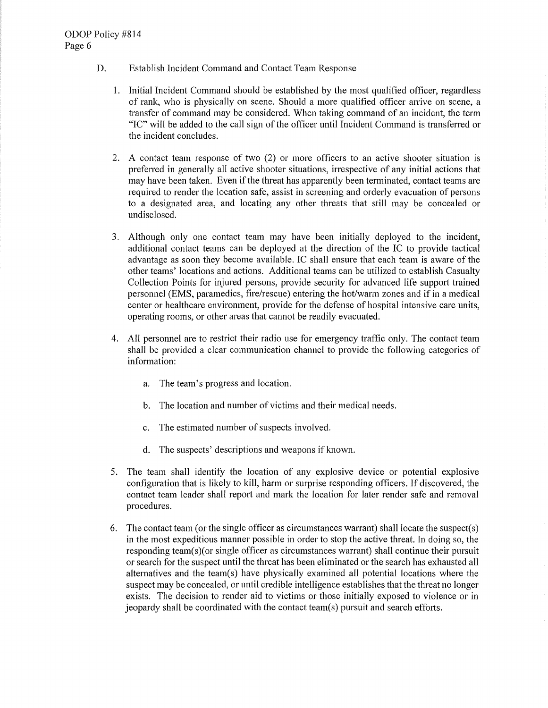- D. Establish Incident Command and Contact Team Response
	- 1. Initial Incident Command should be established by the most qualified officer, regardless of rank, who is physically on scene. Should a more qualified officer arrive on scene, a transfer of command may be considered. When taking command of an incident, the term "IC" will be added to the call sign of the officer until Incident Command is transferred or the incident concludes.
	- 2. A contact team response of two (2) or more officers to an active shooter situation is preferred in generally all active shooter situations, irrespective of any initial actions that may have been taken. Even if the threat has apparently been terminated, contact teams are required to render the location safe, assist in screening and orderly evacuation of persons to a designated area, and locating any other threats that still may be concealed or undisclosed.
	- 3. Although only one contact team may have been initially deployed to the incident, additional contact teams can be deployed at the direction of the IC to provide tactical advantage as soon they become available. IC shall ensure that each team is aware of the other teams' locations and actions. Additional teams can be utilized to establish Casualty Collection Points for injured persons, provide security for advanced life support trained personnel (EMS, paramedics, fire/rescue) entering the hot/warm zones and if in a medical center or healthcare environment, provide for the defense of hospital intensive care units, operating rooms, or other areas that cannot be readily evacuated.
	- 4. All personnel are to restrict their radio use for emergency traffic only. The contact team shall be provided a clear communication channel to provide the following categories of information:
		- a. The team's progress and location.
		- b. The location and number of victims and their medical needs.
		- c. The estimated number of suspects involved.
		- d. The suspects' descriptions and weapons if known.
	- 5. The team shall identify the location of any explosive device or potential explosive configuration that is likely to kill, harm or surprise responding officers. If discovered, the contact team leader shall report and mark the location for later render safe and removal procedures.
	- 6. The contact team (or the single officer as circumstances warrant) shall locate the suspect(s) in the most expeditious manner possible in order to stop the active threat. In doing so, the responding team(s)(or single officer as circumstances warrant) shall continue their pursuit or search for the suspect until the threat has been eliminated or the search has exhausted all alternatives and the team(s) have physically examined all potential locations where the suspect may be concealed, or until credible intelligence establishes that the threat no longer exists. The decision to render aid to victims or those initially exposed to violence or in jeopardy shall be coordinated with the contact team(s) pursuit and search efforts.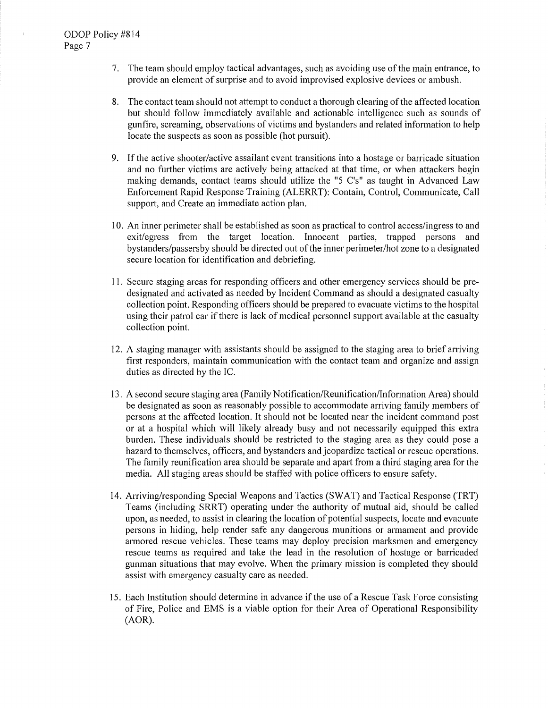$\overline{1}$ 

- 7. The team should employ tactical advantages, such as avoiding use of the main entrance, to provide an element of surprise and to avoid improvised explosive devices or ambush.
- 8. The contact team should not attempt to conduct a thorough clearing of the affected location but should follow immediately available and actionable intelligence such as sounds of gunfire, screaming, observations of victims and bystanders and related information to help locate the suspects as soon as possible (hot pursuit).
- 9. If the active shooter/active assailant event transitions into a hostage or barricade situation and no further victims are actively being attacked at that time, or when attackers begin making demands, contact teams should utilize the "5 C's" as taught in Advanced Law Enforcement Rapid Response Training (ALERRT): Contain, Control, Communicate, Call support, and Create an immediate action plan.
- 10. An inner perimeter shall be established as soon as practical to control access/ingress to and exit/egress from the target location. Innocent patties, trapped persons and bystanders/passersby should be directed out of the inner perimeter/hot zone to a designated secure location for identification and debriefing.
- 11. Secure staging areas for responding officers and other emergency services should be predesignated and activated as needed by Incident Command as should a designated casualty collection point. Responding officers should be prepared to evacuate victims to the hospital using their patrol car if there is lack of medical personnel support available at the casualty collection point.
- 12. A staging manager with assistants should be assigned to the staging area to brief arriving first responders, maintain communication with the contact team and organize and assign duties as directed by the IC.
- 13. A second secure staging area (Family Notification/Reunification/Information Area) should be designated as soon as reasonably possible to accommodate arriving family members of persons at the affected location. It should not be located near the incident command post or at a hospital which will likely already busy and not necessarily equipped this extra burden. These individuals should be restricted to the staging area as they could pose a hazard to themselves, officers, and bystanders and jeopardize tactical or rescue operations. The family reunification area should be separate and apati from a third staging area for the media. All staging areas should be staffed with police officers to ensure safety.
- 14. Arriving/responding Special Weapons and Tactics (SWAT) and Tactical Response (TRT) Teams (including SRRT) operating under the authority of mutual aid, should be called upon, as needed, to assist in clearing the location of potential suspects, locate and evacuate persons in hiding, help render safe any dangerous munitions or armament and provide armored rescue vehicles. These teams may deploy precision marksmen and emergency rescue teams as required and take the lead in the resolution of hostage or barricaded gunman situations that may evolve. When the primary mission is completed they should assist with emergency casualty care as needed.
- 15. Each Institution should determine in advance if the use of a Rescue Task Force consisting of Fire, Police and EMS is a viable option for their Area of Operational Responsibility (AOR).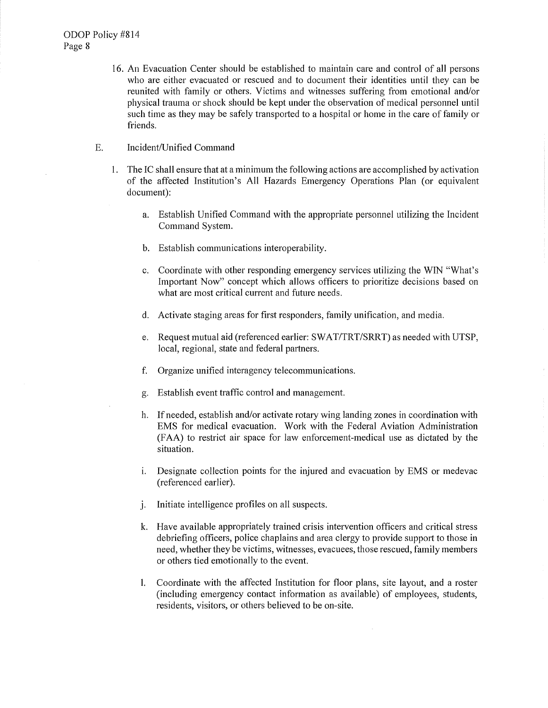16. An Evacuation Center should be established to maintain care and control of all persons who are either evacuated or rescued and to document their identities until they can be reunited with family or others. Victims and witnesses suffering from emotional and/or physical trauma or shock should be kept under the observation of medical personnel until such time as they may be safely transported to a hospital or home in the care of family or friends.

#### E. Incident/Unified Command

- 1. The IC shall ensure that at a minimum the following actions are accomplished by activation of the affected Institution's All Hazards Emergency Operations Plan ( or equivalent document):
	- a. Establish Unified Command with the appropriate personnel utilizing the Incident Command System.
	- b. Establish communications interoperability.
	- c. Coordinate with other responding emergency services utilizing the WIN "What's Important Now" concept which allows officers to prioritize decisions based on what are most critical current and future needs.
	- d. Activate staging areas for first responders, family unification, and media.
	- e. Request mutual aid (referenced earlier: SWAT/TRT/SRRT) as needed with UTSP, local, regional, state and federal partners.
	- f. Organize unified interagency telecommunications.
	- g. Establish event traffic control and management.
	- h. If needed, establish and/or activate rotary wing landing zones in coordination with EMS for medical evacuation. Work with the Federal Aviation Administration (FAA) to restrict air space for law enforcement-medical use as dictated by the situation.
	- 1. Designate collection points for the injured and evacuation by EMS or medevac (referenced earlier).
	- j. Initiate intelligence profiles on all suspects.
	- k. Have available appropriately trained crisis intervention officers and critical stress debriefing officers, police chaplains and area clergy to provide support to those in need, whether they be victims, witnesses, evacuees, those rescued, family members or others tied emotionally to the event.
	- I. Coordinate with the affected Institution for floor plans, site layout, and a roster (including emergency contact information as available) of employees, students, residents, visitors, or others believed to be on-site.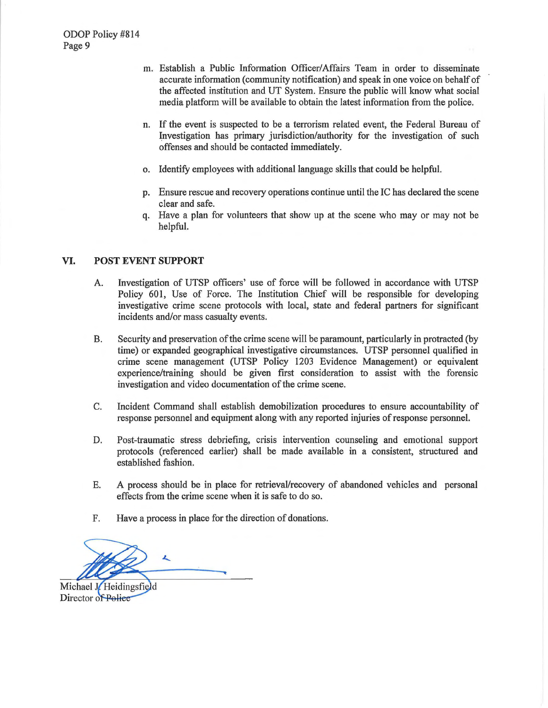- m. Establish a Public Information Officer/ Affairs Team in order to disseminate accurate information ( community notification) and speak in one voice on behalf of the affected institution and UT System. Ensure the public will know what social media platform will be available to obtain the latest information from the police.
- n. If the event is suspected to be a terrorism related event, the Federal Bureau of Investigation has primary jurisdiction/authority for the investigation of such offenses and should be contacted immediately.
- o. Identify employees with additional language skills that could be helpful.
- p. Ensure rescue and recovery operations continue until the IC has declared the scene clear and safe.
- q. Have a plan for volunteers that show up at the scene who may or may not be helpful.

## **VI. POST EVENT SUPPORT**

- A. Investigation of UTSP officers' use of force will be followed in accordance with UTSP Policy 601, Use of Force. The Institution Chief will be responsible for developing investigative crime scene protocols with local, state and federal patiners for significant incidents and/or mass casualty events.
- B. Security and preservation of the crime scene will be paramount, particularly in protracted (by time) or expanded geographical investigative cjrcumstances. UTSP personnel qualified in crime scene management (UTSP Policy 1203 Evidence Management) or equivalent experience/training should be given first consideration to assist with the forensic investigation and video documentation of the crime scene.
- C. Incident Command shall establish demobilization procedures to ensure accountability of response personnel and equipment along with any reported injuries of response personnel.
- D. Post-traumatic stress debriefing, crisis intervention counseling and emotional support protocols (referenced earlier) shall be made available in a consistent, structured and established fashion.
- E. A process should be in place for retrieval/recovery of abandoned vehicles and personal effects from the crime scene when it is safe to do so.
- F. Have a process in place for the direction of donations.

 $\overline{\phantom{a}}$ 

Michael J. Heidingsfield Director of Police